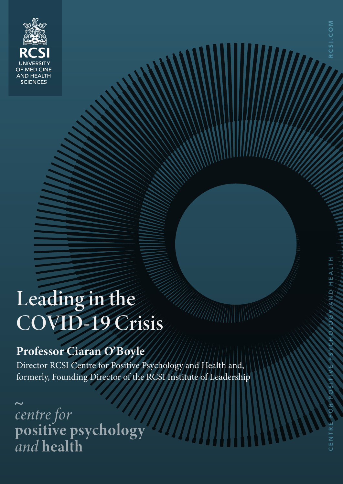

# Leading in the COVID-19 Crisis

## **Professor Ciaran O'Boyle**

Director RCSI Centre for Positive Psychology and Health and, formerly, Founding Director of the RCSI Institute of Leadership

centre for<br>positive psychology<br>and health

RCSI.COM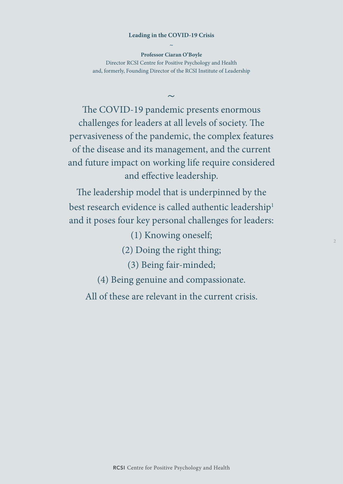#### **Leading in the COVID-19 Crisis ~**

**Professor Ciaran O'Boyle** Director RCSI Centre for Positive Psychology and Health and, formerly, Founding Director of the RCSI Institute of Leadership

 $\sim$ 

The COVID-19 pandemic presents enormous challenges for leaders at all levels of society. The pervasiveness of the pandemic, the complex features of the disease and its management, and the current and future impact on working life require considered and effective leadership.

The leadership model that is underpinned by the best research evidence is called authentic leadership $^1$ and it poses four key personal challenges for leaders:

(1) Knowing oneself;

(2) Doing the right thing;

**2**

(3) Being fair-minded;

(4) Being genuine and compassionate.

All of these are relevant in the current crisis.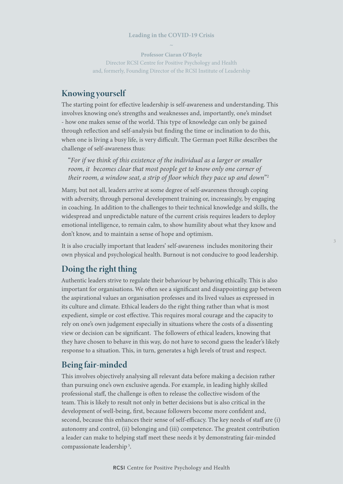#### **Leading in the COVID-19 Crisis**   $\sim$

**Professor Ciaran O'Boyle** Director RCSI Centre for Positive Psychology and Health and, formerly, Founding Director of the RCSI Institute of Leadership

### Knowing yourself

The starting point for effective leadership is self-awareness and understanding. This involves knowing one's strengths and weaknesses and, importantly, one's mindset - how one makes sense of the world. This type of knowledge can only be gained through reflection and self-analysis but finding the time or inclination to do this, when one is living a busy life, is very difficult. The German poet Rilke describes the challenge of self-awareness thus:

"*For if we think of this existence of the individual as a larger or smaller room, it becomes clear that most people get to know only one corner of their room, a window seat, a strip of floor which they pace up and down*"2

Many, but not all, leaders arrive at some degree of self-awareness through coping with adversity, through personal development training or, increasingly, by engaging in coaching. In addition to the challenges to their technical knowledge and skills, the widespread and unpredictable nature of the current crisis requires leaders to deploy emotional intelligence, to remain calm, to show humility about what they know and don't know, and to maintain a sense of hope and optimism.

It is also crucially important that leaders' self-awareness includes monitoring their own physical and psychological health. Burnout is not conducive to good leadership.

#### Doing the right thing

Authentic leaders strive to regulate their behaviour by behaving ethically. This is also important for organisations. We often see a significant and disappointing gap between the aspirational values an organisation professes and its lived values as expressed in its culture and climate. Ethical leaders do the right thing rather than what is most expedient, simple or cost effective. This requires moral courage and the capacity to rely on one's own judgement especially in situations where the costs of a dissenting view or decision can be significant. The followers of ethical leaders, knowing that they have chosen to behave in this way, do not have to second guess the leader's likely response to a situation. This, in turn, generates a high levels of trust and respect.

#### Being fair-minded

This involves objectively analysing all relevant data before making a decision rather than pursuing one's own exclusive agenda. For example, in leading highly skilled professional staff, the challenge is often to release the collective wisdom of the team. This is likely to result not only in better decisions but is also critical in the development of well-being, first, because followers become more confident and, second, because this enhances their sense of self-efficacy. The key needs of staff are (i) autonomy and control, (ii) belonging and (iii) competence. The greatest contribution a leader can make to helping staff meet these needs it by demonstrating fair-minded compassionate leadership 5.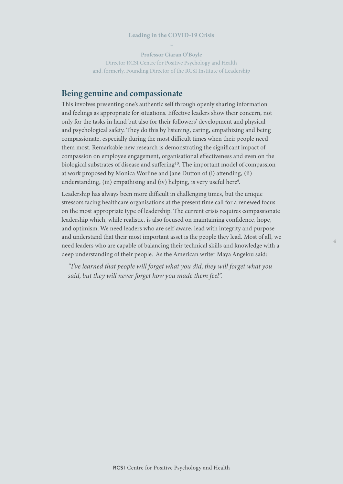#### **Leading in the COVID-19 Crisis**   $\sim$

**Professor Ciaran O'Boyle** Director RCSI Centre for Positive Psychology and Health and, formerly, Founding Director of the RCSI Institute of Leadership

#### Being genuine and compassionate

This involves presenting one's authentic self through openly sharing information and feelings as appropriate for situations. Effective leaders show their concern, not only for the tasks in hand but also for their followers' development and physical and psychological safety. They do this by listening, caring, empathizing and being compassionate, especially during the most difficult times when their people need them most. Remarkable new research is demonstrating the significant impact of compassion on employee engagement, organisational effectiveness and even on the biological substrates of disease and suffering<sup>45</sup>. The important model of compassion at work proposed by Monica Worline and Jane Dutton of (i) attending, (ii) understanding, (iii) empathising and (iv) helping, is very useful here<sup>6</sup>.

Leadership has always been more difficult in challenging times, but the unique stressors facing healthcare organisations at the present time call for a renewed focus on the most appropriate type of leadership. The current crisis requires compassionate leadership which, while realistic, is also focused on maintaining confidence, hope, and optimism. We need leaders who are self-aware, lead with integrity and purpose and understand that their most important asset is the people they lead. Most of all, we need leaders who are capable of balancing their technical skills and knowledge with a deep understanding of their people. As the American writer Maya Angelou said:

**4**

 *"I've learned that people will forget what you did, they will forget what you said, but they will never forget how you made them feel".*